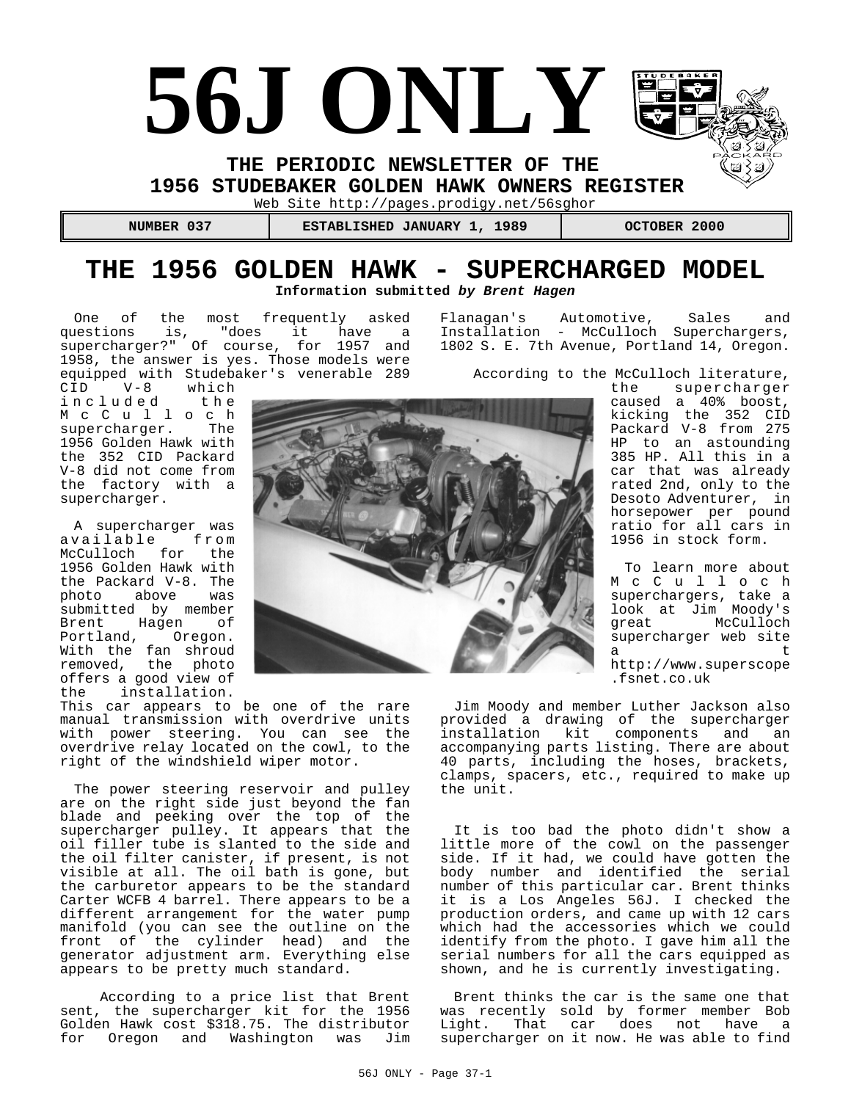# **56J ONLY**

**THE PERIODIC NEWSLETTER OF THE** 

**1956 STUDEBAKER GOLDEN HAWK OWNERS REGISTER** 

Web Site http://pages.prodigy.net/56sghor

 **NUMBER 037 ESTABLISHED JANUARY 1, 1989 OCTOBER 2000**

# **THE 1956 GOLDEN HAWK - SUPERCHARGED MODEL Information submitted by Brent Hagen**

One of the most frequently asked questions is, "does it have a supercharger?" Of course, for 1957 and 1958, the answer is yes. Those models were equipped with Studebaker's venerable 289

CID V-8 which CID V-8 which<br>included the McCulloch supercharger. The 1956 Golden Hawk with the 352 CID Packard V-8 did not come from the factory with a supercharger.

A supercharger was available from McCulloch for the 1956 Golden Hawk with the Packard V-8. The photo above was submitted by member Brent Hagen of Portland, Oregon. With the fan shroud removed, the photo offers a good view of the installation.

This car appears to be one of the rare manual transmission with overdrive units with power steering. You can see the overdrive relay located on the cowl, to the right of the windshield wiper motor.

The power steering reservoir and pulley are on the right side just beyond the fan blade and peeking over the top of the supercharger pulley. It appears that the oil filler tube is slanted to the side and the oil filter canister, if present, is not visible at all. The oil bath is gone, but the carburetor appears to be the standard Carter WCFB 4 barrel. There appears to be a different arrangement for the water pump manifold (you can see the outline on the front of the cylinder head) and the generator adjustment arm. Everything else appears to be pretty much standard.

 According to a price list that Brent sent, the supercharger kit for the 1956 Golden Hawk cost \$318.75. The distributor for Oregon and Washington was Jim Flanagan's Automotive, Sales and Installation - McCulloch Superchargers, 1802 S. E. 7th Avenue, Portland 14, Oregon.

According to the McCulloch literature,

the supercharger caused a 40% boost, kicking the 352 CID Packard V-8 from 275 HP to an astounding 385 HP. All this in a car that was already rated 2nd, only to the Desoto Adventurer, in horsepower per pound ratio for all cars in 1956 in stock form.

To learn more about McCulloch superchargers, take a look at Jim Moody's great McCulloch supercharger web site a t http://www.superscope .fsnet.co.uk

Jim Moody and member Luther Jackson also provided a drawing of the supercharger installation kit components and an accompanying parts listing. There are about 40 parts, including the hoses, brackets, clamps, spacers, etc., required to make up the unit.

It is too bad the photo didn't show a little more of the cowl on the passenger side. If it had, we could have gotten the body number and identified the serial number of this particular car. Brent thinks it is a Los Angeles 56J. I checked the production orders, and came up with 12 cars which had the accessories which we could identify from the photo. I gave him all the serial numbers for all the cars equipped as shown, and he is currently investigating.

Brent thinks the car is the same one that was recently sold by former member Bob Light. That car does not have a supercharger on it now. He was able to find

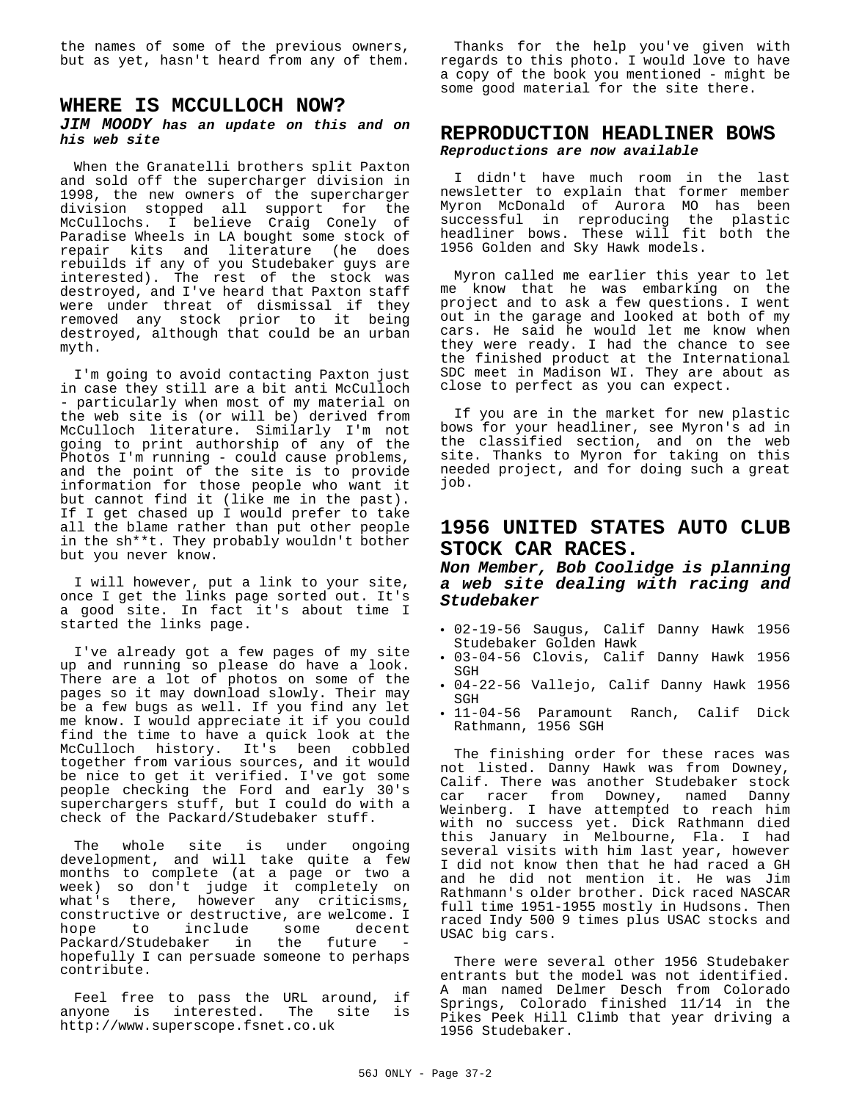the names of some of the previous owners, but as yet, hasn't heard from any of them.

### **WHERE IS MCCULLOCH NOW?**

#### **JIM MOODY has an update on this and on his web site**

When the Granatelli brothers split Paxton and sold off the supercharger division in 1998, the new owners of the supercharger division stopped all support for the McCullochs. I believe Craig Conely of Paradise Wheels in LA bought some stock of repair kits and literature (he does rebuilds if any of you Studebaker guys are interested). The rest of the stock was destroyed, and I've heard that Paxton staff were under threat of dismissal if they removed any stock prior to it being destroyed, although that could be an urban myth.

I'm going to avoid contacting Paxton just in case they still are a bit anti McCulloch - particularly when most of my material on the web site is (or will be) derived from McCulloch literature. Similarly I'm not going to print authorship of any of the Photos I'm running - could cause problems, and the point of the site is to provide information for those people who want it but cannot find it (like me in the past). If I get chased up I would prefer to take all the blame rather than put other people in the sh\*\*t. They probably wouldn't bother but you never know.

I will however, put a link to your site, once I get the links page sorted out. It's a good site. In fact it's about time I started the links page.

I've already got a few pages of my site up and running so please do have a look. There are a lot of photos on some of the pages so it may download slowly. Their may be a few bugs as well. If you find any let me know. I would appreciate it if you could find the time to have a quick look at the McCulloch history. It's been cobbled together from various sources, and it would be nice to get it verified. I've got some people checking the Ford and early 30's superchargers stuff, but I could do with a check of the Packard/Studebaker stuff.

The whole site is under ongoing development, and will take quite a few months to complete (at a page or two a week) so don't judge it completely on what's there, however any criticisms, constructive or destructive, are welcome. I hope to include some decent Packard/Studebaker in the future hopefully I can persuade someone to perhaps contribute.

Feel free to pass the URL around, if anyone is interested. The site is http://www.superscope.fsnet.co.uk

Thanks for the help you've given with regards to this photo. I would love to have a copy of the book you mentioned - might be some good material for the site there.

# **REPRODUCTION HEADLINER BOWS Reproductions are now available**

I didn't have much room in the last newsletter to explain that former member Myron McDonald of Aurora MO has been successful in reproducing the plastic headliner bows. These will fit both the 1956 Golden and Sky Hawk models.

Myron called me earlier this year to let me know that he was embarking on the project and to ask a few questions. I went out in the garage and looked at both of my cars. He said he would let me know when they were ready. I had the chance to see the finished product at the International SDC meet in Madison WI. They are about as close to perfect as you can expect.

If you are in the market for new plastic bows for your headliner, see Myron's ad in the classified section, and on the web site. Thanks to Myron for taking on this needed project, and for doing such a great job.

# **1956 UNITED STATES AUTO CLUB STOCK CAR RACES.**

# **Non Member, Bob Coolidge is planning a web site dealing with racing and Studebaker**

- C 02-19-56 Saugus, Calif Danny Hawk 1956 Studebaker Golden Hawk
- C 03-04-56 Clovis, Calif Danny Hawk 1956 **SGH**
- C 04-22-56 Vallejo, Calif Danny Hawk 1956 SGH
- . 11-04-56 Paramount Ranch, Calif Dick Rathmann, 1956 SGH

The finishing order for these races was not listed. Danny Hawk was from Downey, Calif. There was another Studebaker stock car racer from Downey, named Danny Weinberg. I have attempted to reach him with no success yet. Dick Rathmann died this January in Melbourne, Fla. I had several visits with him last year, however I did not know then that he had raced a GH and he did not mention it. He was Jim Rathmann's older brother. Dick raced NASCAR full time 1951-1955 mostly in Hudsons. Then raced Indy 500 9 times plus USAC stocks and USAC big cars.

There were several other 1956 Studebaker entrants but the model was not identified. A man named Delmer Desch from Colorado Springs, Colorado finished 11/14 in the Pikes Peek Hill Climb that year driving a 1956 Studebaker.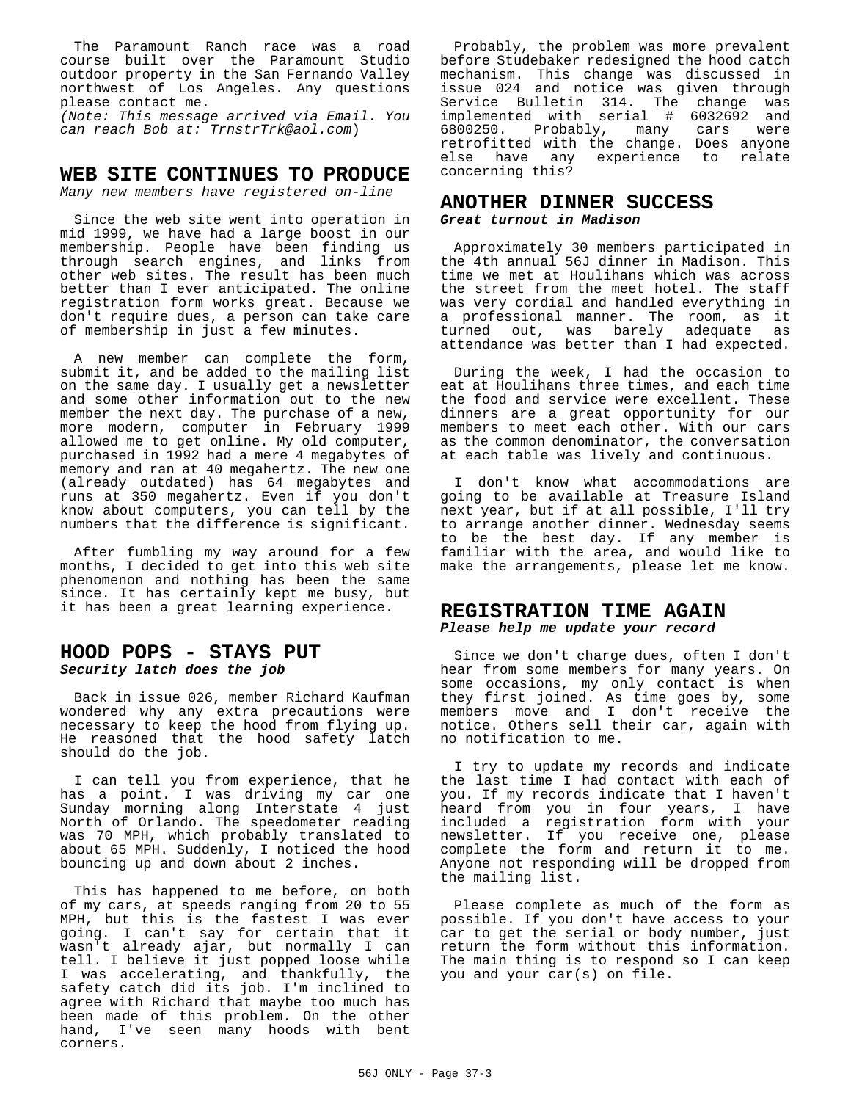The Paramount Ranch race was a road course built over the Paramount Studio outdoor property in the San Fernando Valley northwest of Los Angeles. Any questions please contact me.

(Note: This message arrived via Email. You can reach Bob at: TrnstrTrk@aol.com)

# **WEB SITE CONTINUES TO PRODUCE**

Many new members have registered on-line

Since the web site went into operation in mid 1999, we have had a large boost in our membership. People have been finding us through search engines, and links from other web sites. The result has been much better than I ever anticipated. The online registration form works great. Because we don't require dues, a person can take care of membership in just a few minutes.

A new member can complete the form, submit it, and be added to the mailing list on the same day. I usually get a newsletter and some other information out to the new member the next day. The purchase of a new, more modern, computer in February 1999 allowed me to get online. My old computer, purchased in 1992 had a mere 4 megabytes of memory and ran at 40 megahertz. The new one (already outdated) has 64 megabytes and runs at 350 megahertz. Even if you don't know about computers, you can tell by the numbers that the difference is significant.

After fumbling my way around for a few months, I decided to get into this web site phenomenon and nothing has been the same since. It has certainly kept me busy, but it has been a great learning experience.

## **HOOD POPS - STAYS PUT Security latch does the job**

Back in issue 026, member Richard Kaufman wondered why any extra precautions were necessary to keep the hood from flying up. He reasoned that the hood safety latch should do the job.

I can tell you from experience, that he has a point. I was driving my car one Sunday morning along Interstate 4 just North of Orlando. The speedometer reading was 70 MPH, which probably translated to about 65 MPH. Suddenly, I noticed the hood bouncing up and down about 2 inches.

This has happened to me before, on both of my cars, at speeds ranging from 20 to 55 MPH, but this is the fastest I was ever going. I can't say for certain that it wasn't already ajar, but normally I can tell. I believe it just popped loose while I was accelerating, and thankfully, the safety catch did its job. I'm inclined to agree with Richard that maybe too much has been made of this problem. On the other hand, I've seen many hoods with bent corners.

Probably, the problem was more prevalent before Studebaker redesigned the hood catch mechanism. This change was discussed in issue 024 and notice was given through Service Bulletin 314. The change was implemented with serial # 6032692 and 6800250. Probably, many cars were retrofitted with the change. Does anyone else have any experience to relate concerning this?

# **ANOTHER DINNER SUCCESS**

**Great turnout in Madison**

Approximately 30 members participated in the 4th annual 56J dinner in Madison. This time we met at Houlihans which was across the street from the meet hotel. The staff was very cordial and handled everything in a professional manner. The room, as it turned out, was barely adequate as attendance was better than I had expected.

During the week, I had the occasion to eat at Houlihans three times, and each time the food and service were excellent. These dinners are a great opportunity for our members to meet each other. With our cars as the common denominator, the conversation at each table was lively and continuous.

I don't know what accommodations are going to be available at Treasure Island next year, but if at all possible, I'll try to arrange another dinner. Wednesday seems to be the best day. If any member is familiar with the area, and would like to make the arrangements, please let me know.

# **REGISTRATION TIME AGAIN Please help me update your record**

Since we don't charge dues, often I don't hear from some members for many years. On some occasions, my only contact is when they first joined. As time goes by, some members move and I don't receive the notice. Others sell their car, again with no notification to me.

I try to update my records and indicate the last time I had contact with each of you. If my records indicate that I haven't heard from you in four years, I have included a registration form with your newsletter. If you receive one, please complete the form and return it to me. Anyone not responding will be dropped from the mailing list.

Please complete as much of the form as possible. If you don't have access to your car to get the serial or body number, just return the form without this information. The main thing is to respond so I can keep you and your car(s) on file.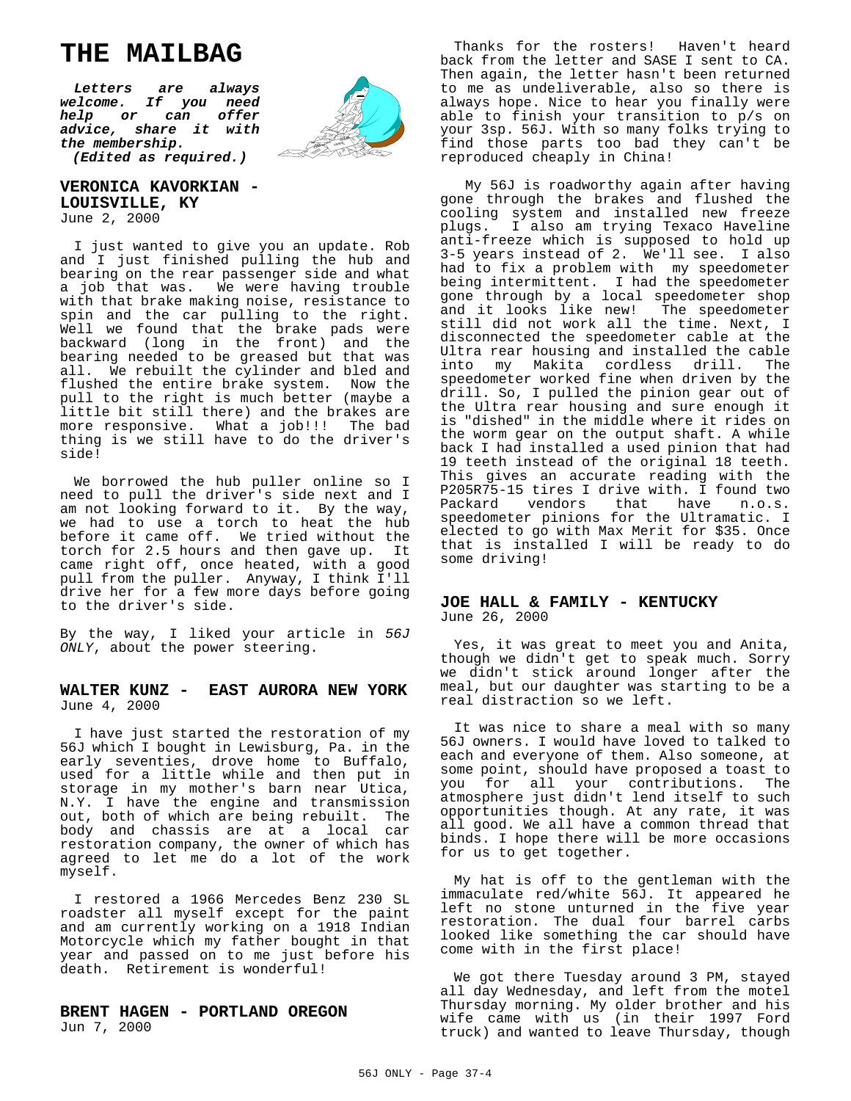# **THE MAILBAG**

**Letters are always welcome. If you need help or can offer advice, share it with the membership. (Edited as required.)**



**VERONICA KAVORKIAN - LOUISVILLE, KY** June 2, 2000

I just wanted to give you an update. Rob and I just finished pulling the hub and bearing on the rear passenger side and what a job that was. We were having trouble with that brake making noise, resistance to spin and the car pulling to the right. Well we found that the brake pads were backward (long in the front) and the bearing needed to be greased but that was all. We rebuilt the cylinder and bled and flushed the entire brake system. Now the pull to the right is much better (maybe a little bit still there) and the brakes are more responsive. What a job!!! The bad thing is we still have to do the driver's side!

We borrowed the hub puller online so I need to pull the driver's side next and I am not looking forward to it. By the way, we had to use a torch to heat the hub before it came off. We tried without the torch for 2.5 hours and then gave up. It came right off, once heated, with a good pull from the puller. Anyway, I think I'll drive her for a few more days before going to the driver's side.

By the way, I liked your article in 56J ONLY, about the power steering.

#### **WALTER KUNZ - EAST AURORA NEW YORK** June 4, 2000

I have just started the restoration of my 56J which I bought in Lewisburg, Pa. in the early seventies, drove home to Buffalo, used for a little while and then put in storage in my mother's barn near Utica, N.Y. I have the engine and transmission out, both of which are being rebuilt. The body and chassis are at a local car restoration company, the owner of which has agreed to let me do a lot of the work myself.

I restored a 1966 Mercedes Benz 230 SL roadster all myself except for the paint and am currently working on a 1918 Indian Motorcycle which my father bought in that year and passed on to me just before his death. Retirement is wonderful!

#### **BRENT HAGEN - PORTLAND OREGON** Jun 7, 2000

Thanks for the rosters! Haven't heard back from the letter and SASE I sent to CA. Then again, the letter hasn't been returned to me as undeliverable, also so there is always hope. Nice to hear you finally were able to finish your transition to p/s on your 3sp. 56J. With so many folks trying to find those parts too bad they can't be reproduced cheaply in China!

 My 56J is roadworthy again after having gone through the brakes and flushed the cooling system and installed new freeze plugs. I also am trying Texaco Haveline anti-freeze which is supposed to hold up 3-5 years instead of 2. We'll see. I also had to fix a problem with my speedometer being intermittent. I had the speedometer gone through by a local speedometer shop and it looks like new! The speedometer still did not work all the time. Next, I disconnected the speedometer cable at the Ultra rear housing and installed the cable into my Makita cordless drill. The speedometer worked fine when driven by the drill. So, I pulled the pinion gear out of the Ultra rear housing and sure enough it is "dished" in the middle where it rides on the worm gear on the output shaft. A while back I had installed a used pinion that had 19 teeth instead of the original 18 teeth. This gives an accurate reading with the P205R75-15 tires I drive with. I found two Packard vendors that have n.o.s. speedometer pinions for the Ultramatic. I elected to go with Max Merit for \$35. Once that is installed I will be ready to do some driving!

#### **JOE HALL & FAMILY - KENTUCKY** June 26, 2000

Yes, it was great to meet you and Anita, though we didn't get to speak much. Sorry we didn't stick around longer after the meal, but our daughter was starting to be a real distraction so we left.

It was nice to share a meal with so many 56J owners. I would have loved to talked to each and everyone of them. Also someone, at some point, should have proposed a toast to you for all your contributions. The atmosphere just didn't lend itself to such opportunities though. At any rate, it was all good. We all have a common thread that binds. I hope there will be more occasions for us to get together.

My hat is off to the gentleman with the immaculate red/white 56J. It appeared he left no stone unturned in the five year restoration. The dual four barrel carbs looked like something the car should have come with in the first place!

We got there Tuesday around 3 PM, stayed all day Wednesday, and left from the motel Thursday morning. My older brother and his wife came with us (in their 1997 Ford truck) and wanted to leave Thursday, though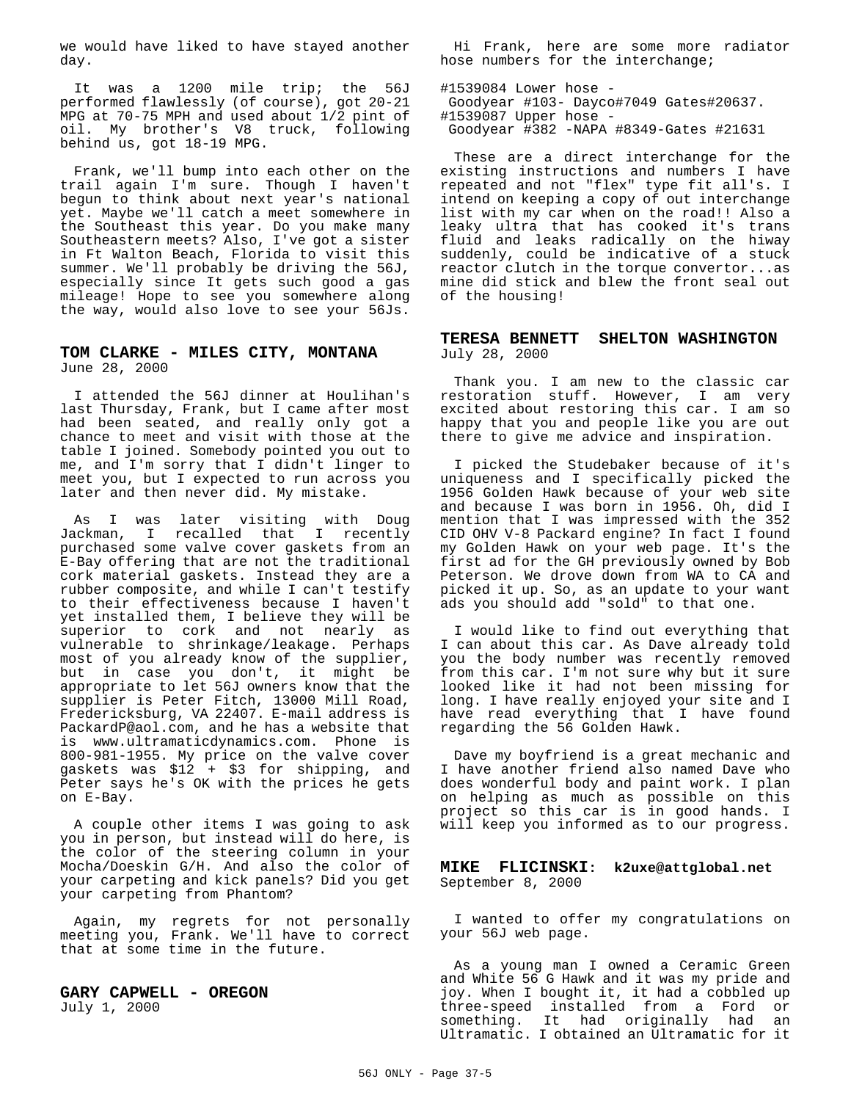we would have liked to have stayed another day.

It was a 1200 mile trip; the 56J performed flawlessly (of course), got 20-21 MPG at 70-75 MPH and used about 1/2 pint of oil. My brother's V8 truck, following behind us, got 18-19 MPG.

Frank, we'll bump into each other on the trail again I'm sure. Though I haven't begun to think about next year's national yet. Maybe we'll catch a meet somewhere in the Southeast this year. Do you make many Southeastern meets? Also, I've got a sister in Ft Walton Beach, Florida to visit this summer. We'll probably be driving the 56J, especially since It gets such good a gas mileage! Hope to see you somewhere along the way, would also love to see your 56Js.

#### **TOM CLARKE - MILES CITY, MONTANA** June 28, 2000

I attended the 56J dinner at Houlihan's last Thursday, Frank, but I came after most had been seated, and really only got a chance to meet and visit with those at the table I joined. Somebody pointed you out to me, and I'm sorry that I didn't linger to meet you, but I expected to run across you later and then never did. My mistake.

As I was later visiting with Doug Jackman, I recalled that I recently purchased some valve cover gaskets from an E-Bay offering that are not the traditional cork material gaskets. Instead they are a rubber composite, and while I can't testify to their effectiveness because I haven't yet installed them, I believe they will be superior to cork and not nearly as vulnerable to shrinkage/leakage. Perhaps most of you already know of the supplier, but in case you don't, it might be appropriate to let 56J owners know that the supplier is Peter Fitch, 13000 Mill Road, Fredericksburg, VA 22407. E-mail address is PackardP@aol.com, and he has a website that is www.ultramaticdynamics.com. Phone is 800-981-1955. My price on the valve cover gaskets was \$12 + \$3 for shipping, and Peter says he's OK with the prices he gets on E-Bay.

A couple other items I was going to ask you in person, but instead will do here, is the color of the steering column in your Mocha/Doeskin G/H. And also the color of your carpeting and kick panels? Did you get your carpeting from Phantom?

Again, my regrets for not personally meeting you, Frank. We'll have to correct that at some time in the future.

**GARY CAPWELL - OREGON**  July 1, 2000

Hi Frank, here are some more radiator hose numbers for the interchange;

#1539084 Lower hose - Goodyear #103- Dayco#7049 Gates#20637. #1539087 Upper hose - Goodyear #382 -NAPA #8349-Gates #21631

These are a direct interchange for the existing instructions and numbers I have repeated and not "flex" type fit all's. I intend on keeping a copy of out interchange list with my car when on the road!! Also a leaky ultra that has cooked it's trans fluid and leaks radically on the hiway suddenly, could be indicative of a stuck reactor clutch in the torque convertor...as mine did stick and blew the front seal out of the housing!

#### **TERESA BENNETT SHELTON WASHINGTON** July 28, 2000

Thank you. I am new to the classic car restoration stuff. However, I am very excited about restoring this car. I am so happy that you and people like you are out there to give me advice and inspiration.

I picked the Studebaker because of it's uniqueness and I specifically picked the 1956 Golden Hawk because of your web site and because I was born in 1956. Oh, did I mention that I was impressed with the 352 CID OHV V-8 Packard engine? In fact I found my Golden Hawk on your web page. It's the first ad for the GH previously owned by Bob Peterson. We drove down from WA to CA and picked it up. So, as an update to your want ads you should add "sold" to that one.

I would like to find out everything that I can about this car. As Dave already told you the body number was recently removed from this car. I'm not sure why but it sure looked like it had not been missing for long. I have really enjoyed your site and I have read everything that I have found regarding the 56 Golden Hawk.

Dave my boyfriend is a great mechanic and I have another friend also named Dave who does wonderful body and paint work. I plan on helping as much as possible on this project so this car is in good hands. I will keep you informed as to our progress.

#### **MIKE FLICINSKI: k2uxe@attglobal.net**  September 8, 2000

I wanted to offer my congratulations on your 56J web page.

As a young man I owned a Ceramic Green and White 56 G Hawk and it was my pride and joy. When I bought it, it had a cobbled up three-speed installed from a Ford or something. It had originally had an Ultramatic. I obtained an Ultramatic for it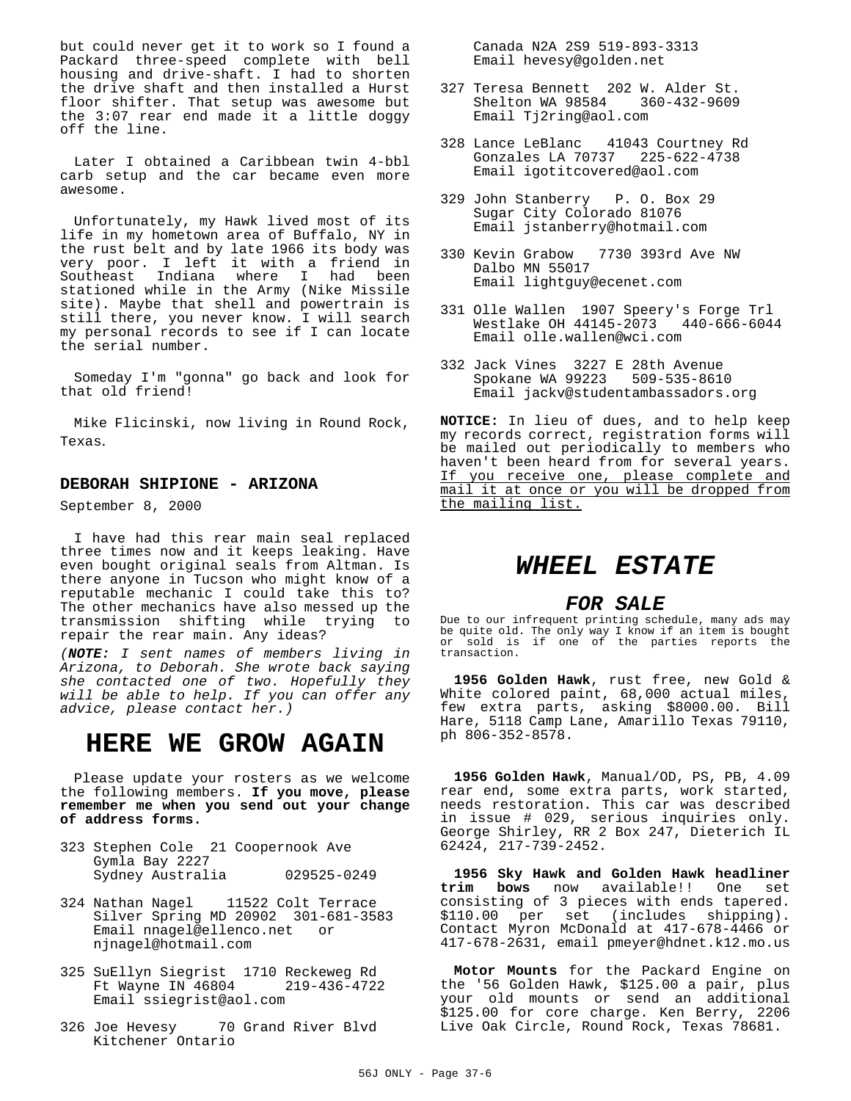but could never get it to work so I found a Packard three-speed complete with bell housing and drive-shaft. I had to shorten the drive shaft and then installed a Hurst floor shifter. That setup was awesome but the 3:07 rear end made it a little doggy off the line.

Later I obtained a Caribbean twin 4-bbl carb setup and the car became even more awesome.

Unfortunately, my Hawk lived most of its life in my hometown area of Buffalo, NY in the rust belt and by late 1966 its body was very poor. I left it with a friend in Southeast Indiana where I had been stationed while in the Army (Nike Missile site). Maybe that shell and powertrain is still there, you never know. I will search my personal records to see if I can locate the serial number.

Someday I'm "gonna" go back and look for that old friend!

Mike Flicinski, now living in Round Rock, Texas.

#### **DEBORAH SHIPIONE - ARIZONA**

September 8, 2000

I have had this rear main seal replaced three times now and it keeps leaking. Have even bought original seals from Altman. Is there anyone in Tucson who might know of a reputable mechanic I could take this to? The other mechanics have also messed up the transmission shifting while trying to repair the rear main. Any ideas?

(**NOTE:** I sent names of members living in Arizona, to Deborah. She wrote back saying she contacted one of two. Hopefully they will be able to help. If you can offer any advice, please contact her.)

# **HERE WE GROW AGAIN**

Please update your rosters as we welcome the following members. **If you move, please remember me when you send out your change of address forms.**

- 323 Stephen Cole 21 Coopernook Ave Gymla Bay 2227 Sydney Australia 029525-0249
- 324 Nathan Nagel 11522 Colt Terrace Silver Spring MD 20902 301-681-3583 Email nnagel@ellenco.net or njnagel@hotmail.com
- 325 SuEllyn Siegrist 1710 Reckeweg Rd Ft Wayne IN 46804 219-436-4722 Email ssiegrist@aol.com
- 326 Joe Hevesy 70 Grand River Blvd Kitchener Ontario

 Canada N2A 2S9 519-893-3313 Email hevesy@golden.net

- 327 Teresa Bennett 202 W. Alder St. Shelton WA 98584 360-432-9609 Email Tj2ring@aol.com
- 328 Lance LeBlanc 41043 Courtney Rd Gonzales LA 70737 225-622-4738 Email igotitcovered@aol.com
- 329 John Stanberry P. O. Box 29 Sugar City Colorado 81076 Email jstanberry@hotmail.com
- 330 Kevin Grabow 7730 393rd Ave NW Dalbo MN 55017 Email lightguy@ecenet.com
- 331 Olle Wallen 1907 Speery's Forge Trl Westlake OH  $44145-2073$ Email olle.wallen@wci.com
- 332 Jack Vines 3227 E 28th Avenue Spokane WA 99223 509-535-8610 Email jackv@studentambassadors.org

**NOTICE:** In lieu of dues, and to help keep my records correct, registration forms will be mailed out periodically to members who haven't been heard from for several years. If you receive one, please complete and mail it at once or you will be dropped from the mailing list.

# **WHEEL ESTATE**

## **FOR SALE**

Due to our infrequent printing schedule, many ads may be quite old. The only way I know if an item is bought or sold is if one of the parties reports the transaction.

**1956 Golden Hawk**, rust free, new Gold & White colored paint, 68,000 actual miles, few extra parts, asking \$8000.00. Bill Hare, 5118 Camp Lane, Amarillo Texas 79110, ph 806-352-8578.

**1956 Golden Hawk**, Manual/OD, PS, PB, 4.09 rear end, some extra parts, work started, needs restoration. This car was described in issue # 029, serious inquiries only. George Shirley, RR 2 Box 247, Dieterich IL 62424, 217-739-2452.

**1956 Sky Hawk and Golden Hawk headliner trim bows** now available!! One set consisting of 3 pieces with ends tapered. \$110.00 per set (includes shipping). Contact Myron McDonald at 417-678-4466 or 417-678-2631, email pmeyer@hdnet.k12.mo.us

**Motor Mounts** for the Packard Engine on the '56 Golden Hawk, \$125.00 a pair, plus your old mounts or send an additional \$125.00 for core charge. Ken Berry, 2206 Live Oak Circle, Round Rock, Texas 78681.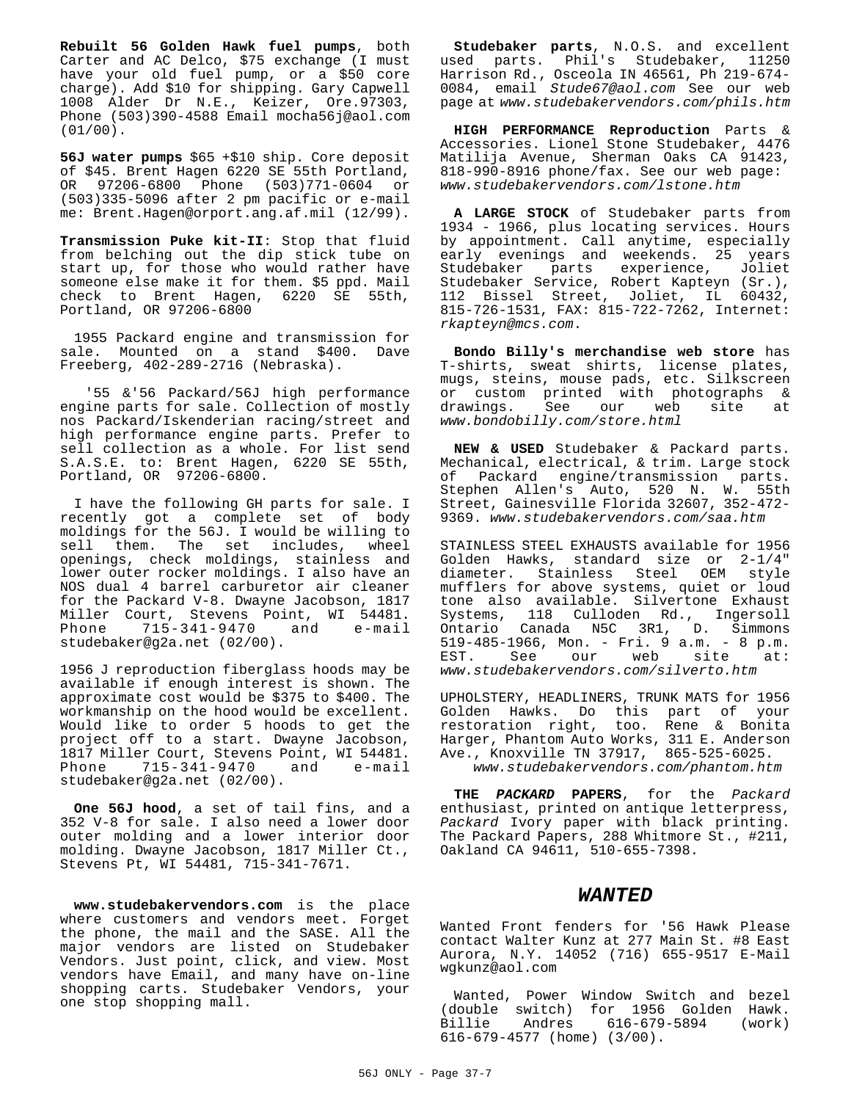**Rebuilt 56 Golden Hawk fuel pumps**, both Carter and AC Delco, \$75 exchange (I must have your old fuel pump, or a \$50 core charge). Add \$10 for shipping. Gary Capwell 1008 Alder Dr N.E., Keizer, Ore.97303, Phone (503)390-4588 Email mocha56j@aol.com (01/00).

**56J water pumps** \$65 +\$10 ship. Core deposit of \$45. Brent Hagen 6220 SE 55th Portland, OR 97206-6800 Phone (503)771-0604 or (503)335-5096 after 2 pm pacific or e-mail me: Brent.Hagen@orport.ang.af.mil (12/99).

**Transmission Puke kit-II**: Stop that fluid from belching out the dip stick tube on start up, for those who would rather have someone else make it for them. \$5 ppd. Mail check to Brent Hagen, 6220 SE 55th, Portland, OR 97206-6800

1955 Packard engine and transmission for sale. Mounted on a stand \$400. Dave Freeberg, 402-289-2716 (Nebraska).

 '55 &'56 Packard/56J high performance engine parts for sale. Collection of mostly nos Packard/Iskenderian racing/street and high performance engine parts. Prefer to sell collection as a whole. For list send S.A.S.E. to: Brent Hagen, 6220 SE 55th, Portland, OR 97206-6800.

I have the following GH parts for sale. I recently got a complete set of body moldings for the 56J. I would be willing to sell them. The set includes, wheel openings, check moldings, stainless and lower outer rocker moldings. I also have an NOS dual 4 barrel carburetor air cleaner for the Packard V-8. Dwayne Jacobson, 1817 Miller Court, Stevens Point, WI 54481. Phone 715-341-9470 and e-mail studebaker@g2a.net (02/00).

1956 J reproduction fiberglass hoods may be available if enough interest is shown. The approximate cost would be \$375 to \$400. The workmanship on the hood would be excellent. Would like to order 5 hoods to get the project off to a start. Dwayne Jacobson, 1817 Miller Court, Stevens Point, WI 54481. Phone 715-341-9470 and e-mail studebaker@g2a.net (02/00).

**One 56J hood**, a set of tail fins, and a 352 V-8 for sale. I also need a lower door outer molding and a lower interior door molding. Dwayne Jacobson, 1817 Miller Ct., Stevens Pt, WI 54481, 715-341-7671.

**www.studebakervendors.com** is the place where customers and vendors meet. Forget the phone, the mail and the SASE. All the major vendors are listed on Studebaker Vendors. Just point, click, and view. Most vendors have Email, and many have on-line shopping carts. Studebaker Vendors, your one stop shopping mall.

**Studebaker parts**, N.O.S. and excellent used parts. Phil's Studebaker, 11250 Harrison Rd., Osceola IN 46561, Ph 219-674- 0084, email Stude67@aol.com See our web page at www.studebakervendors.com/phils.htm

**HIGH PERFORMANCE Reproduction** Parts & Accessories. Lionel Stone Studebaker, 4476 Matilija Avenue, Sherman Oaks CA 91423, 818-990-8916 phone/fax. See our web page: www.studebakervendors.com/lstone.htm

**A LARGE STOCK** of Studebaker parts from 1934 - 1966, plus locating services. Hours by appointment. Call anytime, especially early evenings and weekends. 25 years Studebaker parts experience, Joliet Studebaker Service, Robert Kapteyn (Sr.), 112 Bissel Street, Joliet, IL 60432, 815-726-1531, FAX: 815-722-7262, Internet: rkapteyn@mcs.com.

**Bondo Billy's merchandise web store** has T-shirts, sweat shirts, license plates, mugs, steins, mouse pads, etc. Silkscreen or custom printed with photographs & drawings. See our web site at www.bondobilly.com/store.html

**NEW & USED** Studebaker & Packard parts. Mechanical, electrical, & trim. Large stock of Packard engine/transmission parts. Stephen Allen's Auto, 520 N. W. 55th Street, Gainesville Florida 32607, 352-472- 9369. www.studebakervendors.com/saa.htm

STAINLESS STEEL EXHAUSTS available for 1956 Golden Hawks, standard size or 2-1/4" diameter. Stainless Steel OEM style mufflers for above systems, quiet or loud tone also available. Silvertone Exhaust Systems, 118 Culloden Rd., Ingersoll Ontario Canada N5C 3R1, D. Simmons 519-485-1966, Mon. - Fri. 9 a.m. - 8 p.m. EST. See our web site at: www.studebakervendors.com/silverto.htm

UPHOLSTERY, HEADLINERS, TRUNK MATS for 1956 Golden Hawks. Do this part of your restoration right, too. Rene & Bonita Harger, Phantom Auto Works, 311 E. Anderson Ave., Knoxville TN 37917, 865-525-6025. www.studebakervendors.com/phantom.htm

**THE PACKARD PAPERS**, for the Packard enthusiast, printed on antique letterpress, Packard Ivory paper with black printing. The Packard Papers, 288 Whitmore St., #211, Oakland CA 94611, 510-655-7398.

#### **WANTED**

Wanted Front fenders for '56 Hawk Please contact Walter Kunz at 277 Main St. #8 East Aurora, N.Y. 14052 (716) 655-9517 E-Mail wgkunz@aol.com

Wanted, Power Window Switch and bezel (double switch) for 1956 Golden Hawk. Billie Andres 616-679-5894 (work) 616-679-4577 (home) (3/00).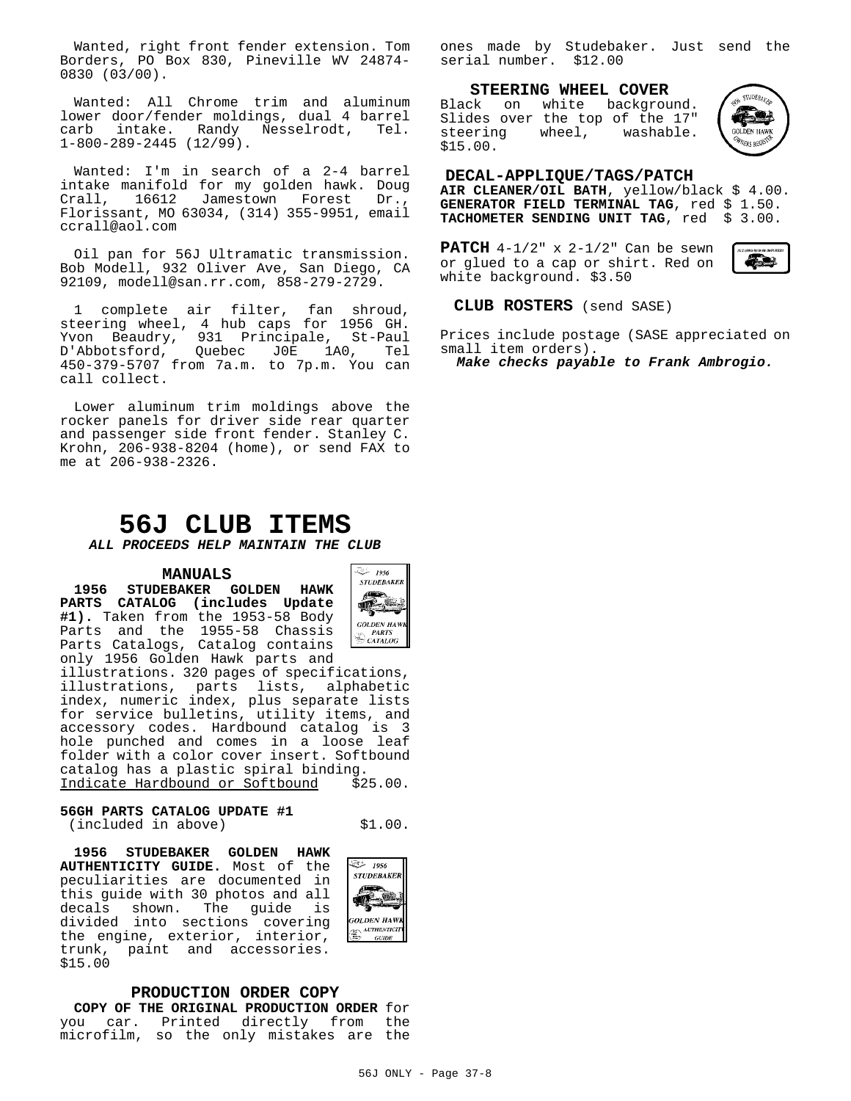Wanted, right front fender extension. Tom Borders, PO Box 830, Pineville WV 24874- 0830 (03/00).

Wanted: All Chrome trim and aluminum lower door/fender moldings, dual 4 barrel carb intake. Randy Nesselrodt, Tel. 1-800-289-2445 (12/99).

Wanted: I'm in search of a 2-4 barrel intake manifold for my golden hawk. Doug Crall, 16612 Jamestown Forest Dr., Florissant, MO 63034, (314) 355-9951, email ccrall@aol.com

Oil pan for 56J Ultramatic transmission. Bob Modell, 932 Oliver Ave, San Diego, CA 92109, modell@san.rr.com, 858-279-2729.

1 complete air filter, fan shroud, steering wheel, 4 hub caps for 1956 GH. Yvon Beaudry, 931 Principale, St-Paul D'Abbotsford, Quebec J0E 1A0, Tel 450-379-5707 from 7a.m. to 7p.m. You can call collect.

Lower aluminum trim moldings above the rocker panels for driver side rear quarter and passenger side front fender. Stanley C. Krohn, 206-938-8204 (home), or send FAX to me at 206-938-2326.

# **56J CLUB ITEMS**

**ALL PROCEEDS HELP MAINTAIN THE CLUB**

#### **MANUALS**

**1956 STUDEBAKER GOLDEN HAWK PARTS CATALOG (includes Update #1).** Taken from the 1953-58 Body Parts and the 1955-58 Chassis Parts Catalogs, Catalog contains only 1956 Golden Hawk parts and



illustrations. 320 pages of specifications, illustrations, parts lists, alphabetic index, numeric index, plus separate lists for service bulletins, utility items, and accessory codes. Hardbound catalog is 3 hole punched and comes in a loose leaf folder with a color cover insert. Softbound catalog has a plastic spiral binding. Indicate Hardbound or Softbound \$25.00.

**56GH PARTS CATALOG UPDATE #1** (included in above) \$1.00.

మి 1956 **STUDEBAKER** <u>ioj</u> 曛 **GOLDEN HAWI**  $\left(\frac{2\pi}{36\pi}\right)$  AUTHENTICIT  $GU\!I\!D E$ 

**1956 STUDEBAKER GOLDEN HAWK AUTHENTICITY GUIDE.** Most of the peculiarities are documented in this guide with 30 photos and all decals shown. The guide is divided into sections covering the engine, exterior, interior, trunk, paint and accessories. \$15.00

**PRODUCTION ORDER COPY COPY OF THE ORIGINAL PRODUCTION ORDER** for you car. Printed directly from the microfilm, so the only mistakes are the ones made by Studebaker. Just send the serial number. \$12.00

**STEERING WHEEL COVER**

Black on white background. Slides over the top of the 17" steering wheel, washable. \$15.00.



#### **DECAL-APPLIQUE/TAGS/PATCH**

**AIR CLEANER/OIL BATH**, yellow/black \$ 4.00. **GENERATOR FIELD TERMINAL TAG**, red \$ 1.50. **TACHOMETER SENDING UNIT TAG**, red \$ 3.00.

**PATCH** 4-1/2" x 2-1/2" Can be sewn or glued to a cap or shirt. Red on white background. \$3.50



## **CLUB ROSTERS** (send SASE)

Prices include postage (SASE appreciated on small item orders).

**Make checks payable to Frank Ambrogio.**